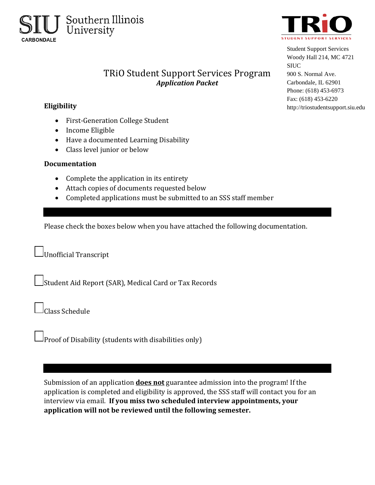



Student Support Services Woody Hall 214, MC 4721 SIUC 900 S. Normal Ave. Carbondale, IL 62901 Phone: (618) 453-6973 Fax: (618) 453-6220 http://triostudentsupport.siu.edu

## TRiO Student Support Services Program *Application Packet*

## **Eligibility**

- First-Generation College Student
- Income Eligible
- Have a documented Learning Disability
- Class level junior or below

## **Documentation**

- Complete the application in its entirety
- Attach copies of documents requested below
- Completed applications must be submitted to an SSS staff member

Please check the boxes below when you have attached the following documentation.

Unofficial Transcript

Student Aid Report (SAR), Medical Card or Tax Records

Class Schedule

Proof of Disability (students with disabilities only)

Submission of an application **does not** guarantee admission into the program! If the application is completed and eligibility is approved, the SSS staff will contact you for an interview via email. **If you miss two scheduled interview appointments, your application will not be reviewed until the following semester.**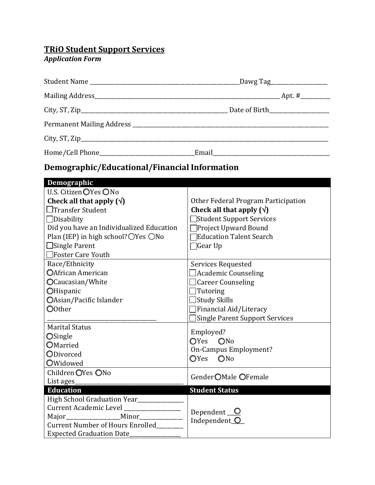## **TRiO Student Support Services**

#### *Application Form*

# **Demographic/Educational/Financial Information**

| Demographic                                  |                                       |  |
|----------------------------------------------|---------------------------------------|--|
| U.S. Citizen OYes ONo                        |                                       |  |
| Check all that apply $(\sqrt{})$             | Other Federal Program Participation   |  |
| $\Box$ Transfer Student                      | Check all that apply $(\sqrt{})$      |  |
| $\Box$ Disability                            | Student Support Services              |  |
| Did you have an Individualized Education     | Project Upward Bound                  |  |
| Plan (IEP) in high school?○Yes ○No           | <b>Education Talent Search</b>        |  |
| $\Box$ Single Parent                         | ]Gear Up                              |  |
| $\Box$ Foster Care Youth                     |                                       |  |
| Race/Ethnicity                               | Services Requested                    |  |
| OAfrican American                            | Academic Counseling                   |  |
| OCaucasian/White                             | $\Box$ Career Counseling              |  |
| OHispanic                                    | Tutoring                              |  |
| OAsian/Pacific Islander                      | Study Skills                          |  |
| O0ther                                       | Financial Aid/Literacy                |  |
|                                              | <b>Single Parent Support Services</b> |  |
| <b>Marital Status</b>                        | Employed?                             |  |
| <b>OSingle</b>                               | OYes ONo                              |  |
| OMarried                                     | On-Campus Employment?                 |  |
| ODivorced                                    | $\mathbf{O}$ Yes<br>ONo               |  |
| OWidowed                                     |                                       |  |
| Children OYes ONo                            | Gender OMale OFemale                  |  |
| List ages                                    |                                       |  |
| <b>Education</b>                             | <b>Student Status</b>                 |  |
| High School Graduation Year_____________     |                                       |  |
| Current Academic Level ______________        | Dependent $\Box$                      |  |
| Major__________________________Minor________ | Independent O                         |  |
| <b>Current Number of Hours Enrolled</b>      |                                       |  |
| <b>Expected Graduation Date</b>              |                                       |  |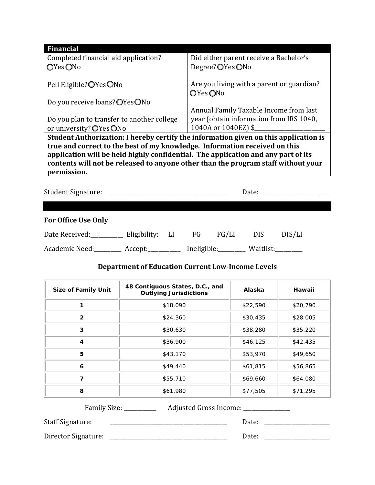| <b>Financial</b>                                                                                                                                                |                                           |  |
|-----------------------------------------------------------------------------------------------------------------------------------------------------------------|-------------------------------------------|--|
| Completed financial aid application?                                                                                                                            | Did either parent receive a Bachelor's    |  |
| OYesONo                                                                                                                                                         | Degree?◯Yes◯No                            |  |
|                                                                                                                                                                 |                                           |  |
| Pell Eligible? OYes ONo                                                                                                                                         | Are you living with a parent or guardian? |  |
|                                                                                                                                                                 | OYesONo                                   |  |
| Do you receive loans? OYesONo                                                                                                                                   |                                           |  |
|                                                                                                                                                                 | Annual Family Taxable Income from last    |  |
| Do you plan to transfer to another college                                                                                                                      | year (obtain information from IRS 1040,   |  |
| or university? OYes ONo                                                                                                                                         | 1040A or 1040EZ) \$                       |  |
| Student Authorization: I hereby certify the information given on this application is                                                                            |                                           |  |
| true and correct to the best of my knowledge. Information received on this<br>application will be held highly confidential. The application and any part of its |                                           |  |
| contents will not be released to anyone other than the program staff without your<br>permission.                                                                |                                           |  |
|                                                                                                                                                                 |                                           |  |

| Student Signature:                           |  |  | Date:                 | <u> 1980 - Andrea Andrew Maria (h. 1980).</u> |  |
|----------------------------------------------|--|--|-----------------------|-----------------------------------------------|--|
|                                              |  |  |                       |                                               |  |
| <b>For Office Use Only</b>                   |  |  |                       |                                               |  |
| Date Received: Eligibility: LI FG FG/LI      |  |  | DIS.                  | DIS/LI                                        |  |
| Academic Need: __________ Accept: __________ |  |  | Ineligible: Waitlist: |                                               |  |

### **Department of Education Current Low-Income Levels**

| <b>Size of Family Unit</b> | 48 Contiguous States, D.C., and<br><b>Outlying Jurisdictions</b> | Alaska   | Hawaii   |
|----------------------------|------------------------------------------------------------------|----------|----------|
|                            | \$18,090                                                         | \$22,590 | \$20,790 |
| $\overline{2}$             | \$24,360                                                         | \$30,435 | \$28,005 |
| 3                          | \$30,630                                                         | \$38,280 | \$35,220 |
| 4                          | \$36,900                                                         | \$46,125 | \$42,435 |
| 5                          | \$43,170                                                         | \$53,970 | \$49,650 |
| 6                          | \$49,440                                                         | \$61,815 | \$56,865 |
| 7                          | \$55,710                                                         | \$69,660 | \$64,080 |
| 8                          | \$61,980                                                         | \$77,505 | \$71,295 |

Family Size: \_\_\_\_\_\_\_\_\_\_\_\_\_\_ Adjusted Gross Income: \_\_\_\_\_\_\_\_\_\_\_\_\_\_\_\_\_\_\_\_\_\_\_\_\_\_\_\_\_

Staff Signature: \_\_\_\_\_\_\_\_\_\_\_\_\_\_\_\_\_\_\_\_\_\_\_\_\_\_\_\_\_\_\_\_\_\_\_\_\_\_\_\_\_\_\_ Date: \_\_\_\_\_\_\_\_\_\_\_\_\_\_\_\_\_\_\_\_\_\_\_\_

Director Signature: \_\_\_\_\_\_\_\_\_\_\_\_\_\_\_\_\_\_\_\_\_\_\_\_\_\_\_\_\_\_\_\_\_\_\_\_\_\_\_\_\_\_\_ Date: \_\_\_\_\_\_\_\_\_\_\_\_\_\_\_\_\_\_\_\_\_\_\_\_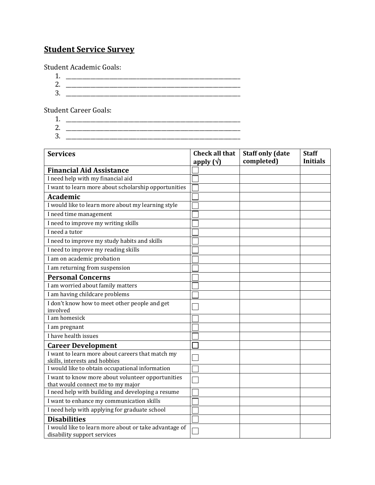# **Student Service Survey**

Student Academic Goals:

1. \_\_\_\_\_\_\_\_\_\_\_\_\_\_\_\_\_\_\_\_\_\_\_\_\_\_\_\_\_\_\_\_\_\_\_\_\_\_\_\_\_\_\_\_\_\_\_\_\_\_\_\_\_\_\_\_\_\_\_\_\_\_\_\_ 2. \_\_\_\_\_\_\_\_\_\_\_\_\_\_\_\_\_\_\_\_\_\_\_\_\_\_\_\_\_\_\_\_\_\_\_\_\_\_\_\_\_\_\_\_\_\_\_\_\_\_\_\_\_\_\_\_\_\_\_\_\_\_\_\_ 3. \_\_\_\_\_\_\_\_\_\_\_\_\_\_\_\_\_\_\_\_\_\_\_\_\_\_\_\_\_\_\_\_\_\_\_\_\_\_\_\_\_\_\_\_\_\_\_\_\_\_\_\_\_\_\_\_\_\_\_\_\_\_\_\_

Student Career Goals:

- 1. \_\_\_\_\_\_\_\_\_\_\_\_\_\_\_\_\_\_\_\_\_\_\_\_\_\_\_\_\_\_\_\_\_\_\_\_\_\_\_\_\_\_\_\_\_\_\_\_\_\_\_\_\_\_\_\_\_\_\_\_\_\_\_\_
- 2. \_\_\_\_\_\_\_\_\_\_\_\_\_\_\_\_\_\_\_\_\_\_\_\_\_\_\_\_\_\_\_\_\_\_\_\_\_\_\_\_\_\_\_\_\_\_\_\_\_\_\_\_\_\_\_\_\_\_\_\_\_\_\_\_ 3. \_\_\_\_\_\_\_\_\_\_\_\_\_\_\_\_\_\_\_\_\_\_\_\_\_\_\_\_\_\_\_\_\_\_\_\_\_\_\_\_\_\_\_\_\_\_\_\_\_\_\_\_\_\_\_\_\_\_\_\_\_\_\_\_

| <b>Services</b>                                                                  | <b>Check all that</b><br>apply $(\sqrt{)}$ | <b>Staff only (date</b><br>completed) | <b>Staff</b><br><b>Initials</b> |
|----------------------------------------------------------------------------------|--------------------------------------------|---------------------------------------|---------------------------------|
| <b>Financial Aid Assistance</b>                                                  |                                            |                                       |                                 |
| I need help with my financial aid                                                |                                            |                                       |                                 |
| I want to learn more about scholarship opportunities                             |                                            |                                       |                                 |
| <b>Academic</b>                                                                  |                                            |                                       |                                 |
| I would like to learn more about my learning style                               |                                            |                                       |                                 |
| I need time management                                                           |                                            |                                       |                                 |
| I need to improve my writing skills                                              |                                            |                                       |                                 |
| I need a tutor                                                                   |                                            |                                       |                                 |
| I need to improve my study habits and skills                                     |                                            |                                       |                                 |
| I need to improve my reading skills                                              |                                            |                                       |                                 |
| I am on academic probation                                                       |                                            |                                       |                                 |
| I am returning from suspension                                                   |                                            |                                       |                                 |
| <b>Personal Concerns</b>                                                         |                                            |                                       |                                 |
| I am worried about family matters                                                |                                            |                                       |                                 |
| I am having childcare problems                                                   |                                            |                                       |                                 |
| I don't know how to meet other people and get                                    |                                            |                                       |                                 |
| involved                                                                         |                                            |                                       |                                 |
| I am homesick                                                                    |                                            |                                       |                                 |
| I am pregnant                                                                    |                                            |                                       |                                 |
| I have health issues                                                             |                                            |                                       |                                 |
| <b>Career Development</b>                                                        |                                            |                                       |                                 |
| I want to learn more about careers that match my                                 |                                            |                                       |                                 |
| skills, interests and hobbies<br>I would like to obtain occupational information |                                            |                                       |                                 |
| I want to know more about volunteer opportunities                                |                                            |                                       |                                 |
| that would connect me to my major                                                |                                            |                                       |                                 |
| I need help with building and developing a resume                                |                                            |                                       |                                 |
| I want to enhance my communication skills                                        |                                            |                                       |                                 |
| I need help with applying for graduate school                                    |                                            |                                       |                                 |
| <b>Disabilities</b>                                                              |                                            |                                       |                                 |
| I would like to learn more about or take advantage of                            |                                            |                                       |                                 |
| disability support services                                                      |                                            |                                       |                                 |